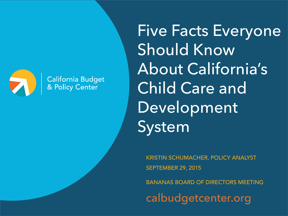

**California Budget<br>& Policy Center** 

Five Facts Everyone Should Know About California's Child Care and Development System

KRISTIN SCHUMACHER, POLICY ANALYST SEPTEMBER 29, 2015

BANANAS BOARD OF DIRECTORS MEETING

calbudgetcenter.org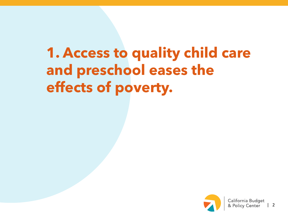## **1. Access to quality child care and preschool eases the effects of poverty.**

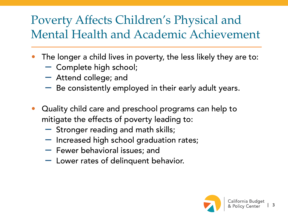## Poverty Affects Children's Physical and Mental Health and Academic Achievement

- $\bullet$  The longer a child lives in poverty, the less likely they are to:
	- Complete high school;
	- Attend college; and
	- $\hspace{0.1mm}-\hspace{0.1mm}$  Be consistently employed in their early adult years.
- $\bullet$  Quality child care and preschool programs can help to mitigate the effects of poverty leading to:
	- Stronger reading and math skills;
	- Increased high school graduation rates;
	- Fewer behavioral issues; and
	- Lower rates of delinquent behavior.

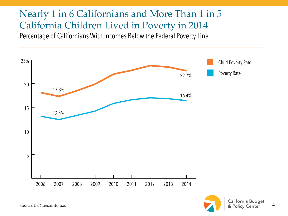#### Nearly 1 in 6 Californians and More Than 1 in 5 California Children Lived in Poverty in 2014 Percentage of Californians With Incomes Below the Federal Poverty Line



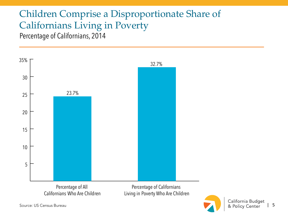### Children Comprise a Disproportionate Share of Californians Living in Poverty

Percentage of Californians, 2014



Californians Who Are Children

Percentage of Californians Living in Poverty Who Are Children

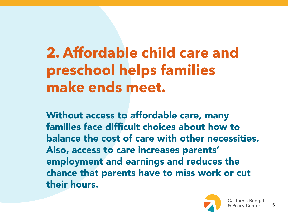# **2. Affordable child care and preschool helps families make ends meet.**

Without access to affordable care, many families face difficult choices about how to balance the cost of care with other necessities. Also, access to care increases parents' employment and earnings and reduces the chance that parents have to miss work or cut their hours.

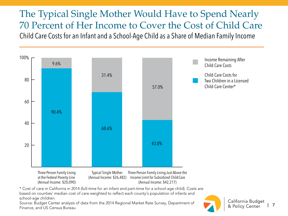The Typical Single Mother Would Have to Spend Nearly 70 Percent of Her Income to Cover the Cost of Child CareChild Care Costs for an Infant and a School-Age Child as a Share of Median Family Income



\* Cost of care in California in 2014 (full-time for an infant and part-time for a school-age child). Costs are based on counties' median cost of care weighted to reflect each county's population of infants and school-age children.

Source: Budget Center analysis of data from the 2014 Regional Market Rate Survey, Department of Finance, and US Census Bureau

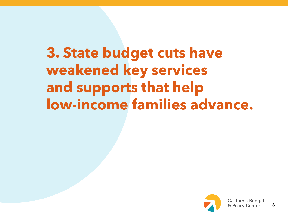**3. State budget cuts have weakened key services and supports that help low-income families advance.**

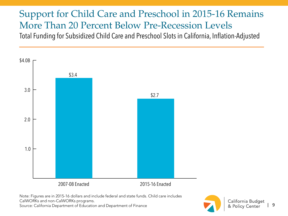#### Support for Child Care and Preschool in 2015-16 Remains More Than 20 Percent Below Pre-Recession Levels Total Funding for Subsidized Child Care and Preschool Slots in California, Inflation-Adjusted



Note: Figures are in 2015-16 dollars and include federal and state funds. Child care includes CalWORKs and non-CalWORKs programs. Source: California Department of Education and Department of Finance

California Budget | 9 & Policy Center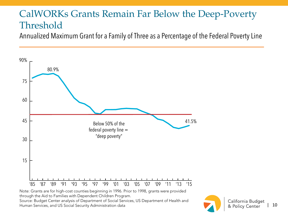### CalWORKs Grants Remain Far Below the Deep-Poverty Threshold

Annualized Maximum Grant for a Family of Three as a Percentage of the Federal Poverty Line



Note: Grants are for high-cost counties beginning in 1996. Prior to 1998, grants were provided through the Aid to Families with Dependent Children Program. Source: Budget Center analysis of Department of Social Services, US Department of Health and Human Services, and US Social Security Administration data

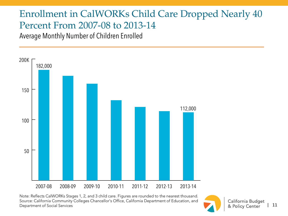### Enrollment in CalWORKs Child Care Dropped Nearly 40 Percent From 2007-08 to 2013-14

Average Monthly Number of Children Enrolled



Note: Reflects CalWORKs Stages 1, 2, and 3 child care. Figures are rounded to the nearest thousand. Source: California Community Colleges Chancellor's Office, California Department of Education, and Department of Social Services

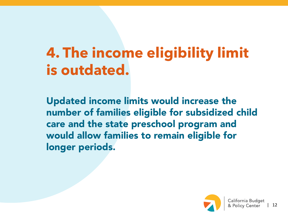# **4. The income eligibility limit is outdated.**

Updated income limits would increase the number of families eligible for subsidized child care and the state preschool program and would allow families to remain eligible for longer periods.

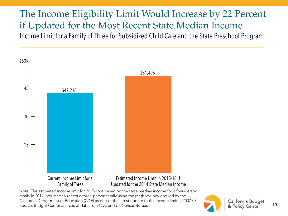The Income Eligibility Limit Would Increase by 22 Percent if Updated for the Most Recent State Median Income Income Limit for a Family of Three for Subsidized Child Care and the State Preschool Program



Current Income Limit for aFamily of Three

Estimated Income Limit in 2015-16 ifUpdated for the 2014 State Median Income

Note: The estimated income limit for 2015-16 is based on the state median income for a four-person family in 2014, adjusted to reflect a three-person family using the methodology applied by the California Department of Education (CDE) as part of the latest update to the income limit in 2007-08. Source: Budget Center analysis of data from CDE and US Census Bureau

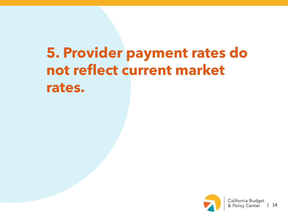## **5. Provider payment rates do not reflect current market rates.**

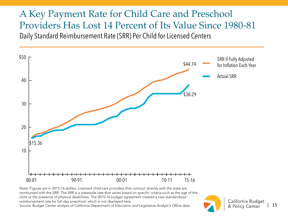#### A Key Payment Rate for Child Care and Preschool Providers Has Lost 14 Percent of Its Value Since 1980-81 Daily Standard Reimbursement Rate (SRR) Per Child for Licensed Centers



Note: Figures are in 2015-16 dollars. Licensed child care providers that contract directly with the state are reimbursed with the SRR. The SRR is a statewide rate that varies based on specific criteria such as the age of the child or the presence of physical disabilities. The 2015-16 budget agreement created a new standardized reimbursement rate for full-day preschool, which is not displayed here.

Source: Budget Center analysis of California Department of Education and Legislative Analyst's Office data

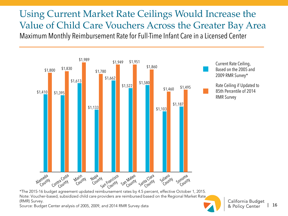#### Using Current Market Rate Ceilings Would Increase the Value of Child Care Vouchers Across the Greater Bay Area Maximum Monthly Reimbursement Rate for Full-Time Infant Care in a Licensed Center



Current Rate Ceiling, Based on the 2005 and2009 RMR Survey\* Rate Ceiling if Updated to

85th Percentile of 2014RMR Survey

\*The 2015-16 budget agreement updated reimbursement rates by 4.5 percent, effective October 1, 2015. Note: Voucher-based, subsidized child care providers are reimbursed based on the Regional Market Rate (RMR) Survey.

Source: Budget Center analysis of 2005, 2009, and 2014 RMR Survey data

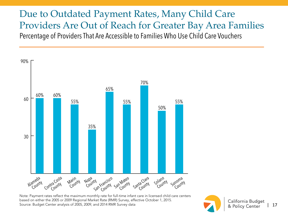Due to Outdated Payment Rates, Many Child Care Providers Are Out of Reach for Greater Bay Area Families Percentage of Providers That Are Accessible to Families Who Use Child Care Vouchers



Note: Payment rates reflect the maximum monthly rate for full-time infant care in licensed child care centers based on either the 2005 or 2009 Regional Market Rate (RMR) Survey, effective October 1, 2015. Source: Budget Center analysis of 2005, 2009, and 2014 RMR Survey data

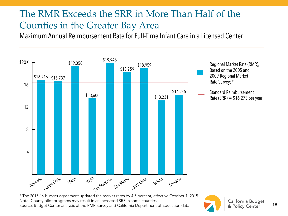### The RMR Exceeds the SRR in More Than Half of the Counties in the Greater Bay Area

Maximum Annual Reimbursement Rate for Full-Time Infant Care in a Licensed Center



\* The 2015-16 budget agreement updated the market rates by 4.5 percent, effective October 1, 2015. Note: County pilot programs may result in an increased SRR in some counties. Source: Budget Center analysis of the RMR Survey and California Department of Education data